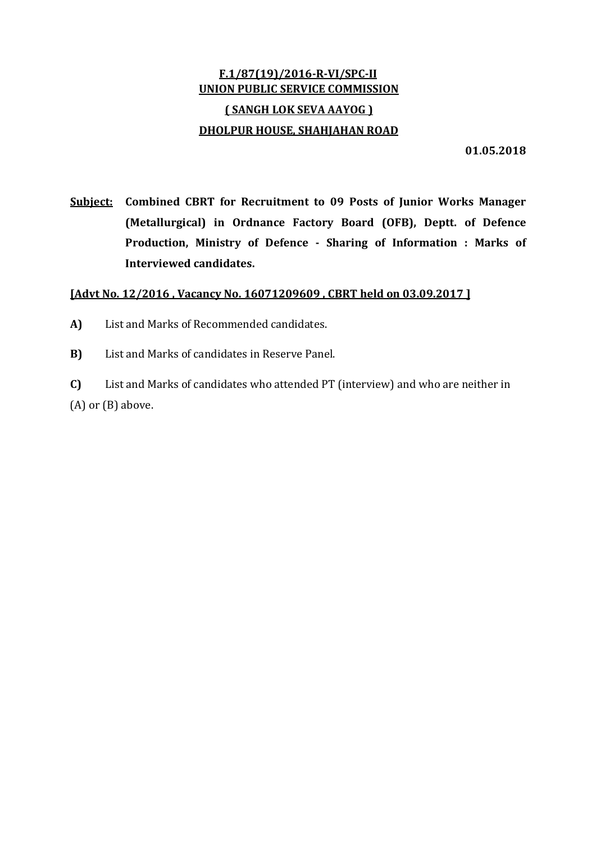## F.1/87(19)/2016‐R‐VI/SPC‐II UNION PUBLIC SERVICE COMMISSION ( SANGH LOK SEVA AAYOG ) DHOLPUR HOUSE, SHAHJAHAN ROAD

01.05.2018

Subject: Combined CBRT for Recruitment to 09 Posts of Junior Works Manager (Metallurgical) in Ordnance Factory Board (OFB), Deptt. of Defence Production, Ministry of Defence ‐ Sharing of Information : Marks of Interviewed candidates.

## [Advt No. 12/2016 , Vacancy No. 16071209609 , CBRT held on 03.09.2017 ]

- A) List and Marks of Recommended candidates.
- B) List and Marks of candidates in Reserve Panel.

C) List and Marks of candidates who attended PT (interview) and who are neither in (A) or (B) above.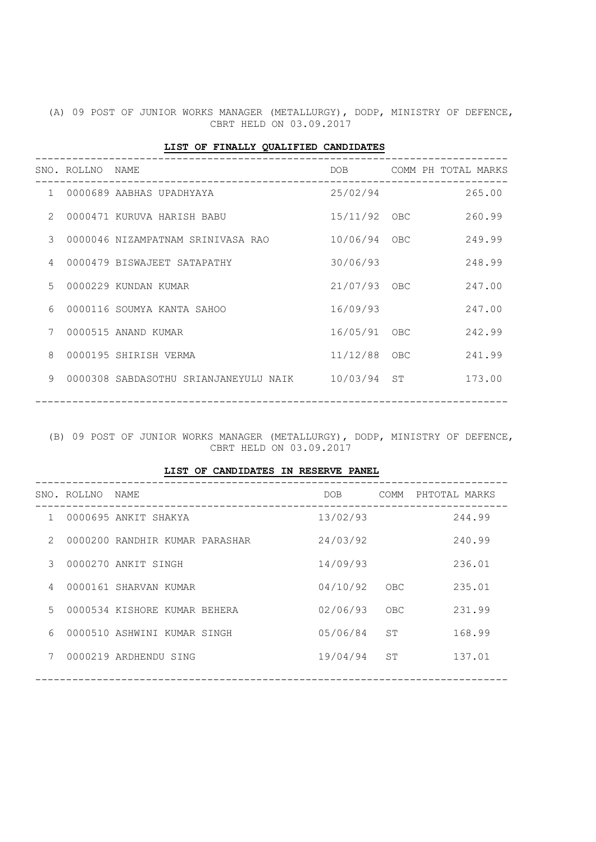(A) 09 POST OF JUNIOR WORKS MANAGER (METALLURGY), DODP, MINISTRY OF DEFENCE, CBRT HELD ON 03.09.2017

|               |                  | _____________________________________ |                  |                     |        |
|---------------|------------------|---------------------------------------|------------------|---------------------|--------|
|               | SNO. ROLLNO NAME | ____________________________________  | DOB <sub>a</sub> | COMM PH TOTAL MARKS |        |
|               |                  | 1 0000689 AABHAS UPADHYAYA            | 25/02/94         |                     | 265.00 |
| $\mathcal{L}$ |                  | 0000471 KURUVA HARISH BABU            | 15/11/92 OBC     |                     | 260.99 |
| $\mathcal{S}$ |                  | 0000046 NIZAMPATNAM SRINIVASA RAO     | 10/06/94 OBC     |                     | 249.99 |
| 4             |                  | 0000479 BISWAJEET SATAPATHY           | 30/06/93         |                     | 248.99 |
| 5             |                  | 0000229 KUNDAN KUMAR                  | 21/07/93 OBC     |                     | 247.00 |
| 6             |                  | 0000116 SOUMYA KANTA SAHOO            | 16/09/93         |                     | 247.00 |
| 7             |                  | 0000515 ANAND KUMAR                   | 16/05/91 OBC     |                     | 242.99 |
| 8             |                  | 0000195 SHIRISH VERMA                 | 11/12/88 OBC     |                     | 241.99 |
| $\mathsf{Q}$  |                  | 0000308 SABDASOTHU SRIANJANEYULU NAIK | 10/03/94 ST      |                     | 173.00 |
|               |                  |                                       |                  |                     |        |

(B) 09 POST OF JUNIOR WORKS MANAGER (METALLURGY), DODP, MINISTRY OF DEFENCE, CBRT HELD ON 03.09.2017

LIST OF CANDIDATES IN RESERVE PANEL

|                | SNO. ROLLNO NAME |                                | DOB      | COMM | PHTOTAL MARKS |
|----------------|------------------|--------------------------------|----------|------|---------------|
| 1              |                  | 0000695 ANKIT SHAKYA           | 13/02/93 |      | 244.99        |
| $\mathcal{L}$  |                  | 0000200 RANDHIR KUMAR PARASHAR | 24/03/92 |      | 240.99        |
| 3              |                  | 0000270 ANKIT SINGH            | 14/09/93 |      | 236.01        |
| $\overline{4}$ |                  | 0000161 SHARVAN KUMAR          | 04/10/92 | OBC  | 235.01        |
| $5 -$          |                  | 0000534 KISHORE KUMAR BEHERA   | 02/06/93 | OBC  | 231.99        |
| 6              |                  | 0000510 ASHWINI KUMAR SINGH    | 05/06/84 | ST   | 168.99        |
| 7              |                  | 0000219 ARDHENDU SING          | 19/04/94 | ST   | 137.01        |
|                |                  |                                |          |      |               |